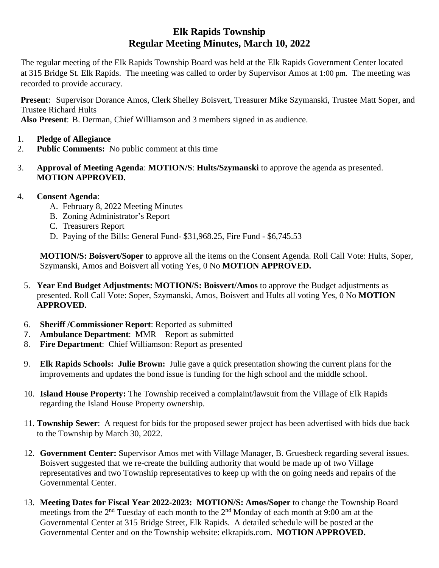## **Elk Rapids Township Regular Meeting Minutes, March 10, 2022**

The regular meeting of the Elk Rapids Township Board was held at the Elk Rapids Government Center located at 315 Bridge St. Elk Rapids. The meeting was called to order by Supervisor Amos at 1:00 pm. The meeting was recorded to provide accuracy.

**Present**: Supervisor Dorance Amos, Clerk Shelley Boisvert, Treasurer Mike Szymanski, Trustee Matt Soper, and Trustee Richard Hults

**Also Present**: B. Derman, Chief Williamson and 3 members signed in as audience.

- 1. **Pledge of Allegiance**
- 2. **Public Comments:** No public comment at this time
- 3. **Approval of Meeting Agenda**: **MOTION/S**: **Hults/Szymanski** to approve the agenda as presented. **MOTION APPROVED.**
- 4. **Consent Agenda**:
	- A. February 8, 2022 Meeting Minutes
	- B. Zoning Administrator's Report
	- C. Treasurers Report
	- D. Paying of the Bills: General Fund- \$31,968.25, Fire Fund \$6,745.53

**MOTION/S: Boisvert/Soper** to approve all the items on the Consent Agenda. Roll Call Vote: Hults, Soper, Szymanski, Amos and Boisvert all voting Yes, 0 No **MOTION APPROVED.**

- 5. **Year End Budget Adjustments: MOTION/S: Boisvert/Amos** to approve the Budget adjustments as presented. Roll Call Vote: Soper, Szymanski, Amos, Boisvert and Hults all voting Yes, 0 No **MOTION APPROVED.**
- 6. **Sheriff /Commissioner Report**: Reported as submitted
- 7. **Ambulance Department**: MMR Report as submitted
- 8. **Fire Department**: Chief Williamson: Report as presented
- 9. **Elk Rapids Schools: Julie Brown:** Julie gave a quick presentation showing the current plans for the improvements and updates the bond issue is funding for the high school and the middle school.
- 10. **Island House Property:** The Township received a complaint/lawsuit from the Village of Elk Rapids regarding the Island House Property ownership.
- 11. **Township Sewer**: A request for bids for the proposed sewer project has been advertised with bids due back to the Township by March 30, 2022.
- 12. **Government Center:** Supervisor Amos met with Village Manager, B. Gruesbeck regarding several issues. Boisvert suggested that we re-create the building authority that would be made up of two Village representatives and two Township representatives to keep up with the on going needs and repairs of the Governmental Center.
- 13. **Meeting Dates for Fiscal Year 2022-2023: MOTION/S: Amos/Soper** to change the Township Board meetings from the 2<sup>nd</sup> Tuesday of each month to the 2<sup>nd</sup> Monday of each month at 9:00 am at the Governmental Center at 315 Bridge Street, Elk Rapids. A detailed schedule will be posted at the Governmental Center and on the Township website: elkrapids.com. **MOTION APPROVED.**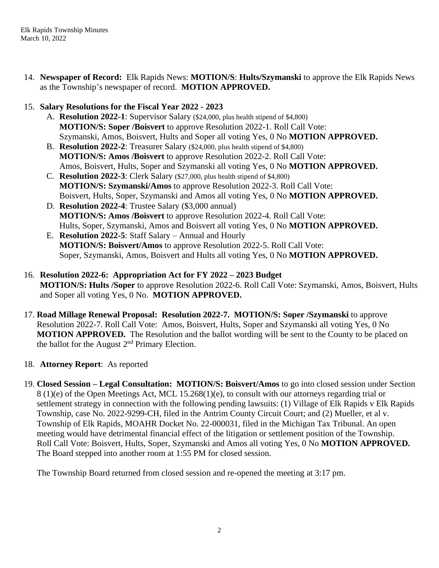14. **Newspaper of Record:** Elk Rapids News: **MOTION/S**: **Hults/Szymanski** to approve the Elk Rapids News as the Township's newspaper of record. **MOTION APPROVED.**

## 15. **Salary Resolutions for the Fiscal Year 2022 - 2023**

- A. **Resolution 2022-1**: Supervisor Salary (\$24,000, plus health stipend of \$4,800) **MOTION/S: Soper /Boisvert** to approve Resolution 2022-1. Roll Call Vote: Szymanski, Amos, Boisvert, Hults and Soper all voting Yes, 0 No **MOTION APPROVED.**
- B. **Resolution 2022-2**: Treasurer Salary (\$24,000, plus health stipend of \$4,800) **MOTION/S: Amos /Boisvert** to approve Resolution 2022-2. Roll Call Vote: Amos, Boisvert, Hults, Soper and Szymanski all voting Yes, 0 No **MOTION APPROVED.**
- C. **Resolution 2022-3**: Clerk Salary (\$27,000, plus health stipend of \$4,800) **MOTION/S: Szymanski/Amos** to approve Resolution 2022-3. Roll Call Vote: Boisvert, Hults, Soper, Szymanski and Amos all voting Yes, 0 No **MOTION APPROVED.**
- D. **Resolution 2022-4**: Trustee Salary (\$3,000 annual) **MOTION/S: Amos /Boisvert** to approve Resolution 2022-4. Roll Call Vote: Hults, Soper, Szymanski, Amos and Boisvert all voting Yes, 0 No **MOTION APPROVED.**
- E. **Resolution 2022-5**: Staff Salary Annual and Hourly **MOTION/S: Boisvert/Amos** to approve Resolution 2022-5. Roll Call Vote: Soper, Szymanski, Amos, Boisvert and Hults all voting Yes, 0 No **MOTION APPROVED.**
- 16. **Resolution 2022-6: Appropriation Act for FY 2022 – 2023 Budget MOTION/S: Hults /Soper** to approve Resolution 2022-6. Roll Call Vote: Szymanski, Amos, Boisvert, Hults and Soper all voting Yes, 0 No. **MOTION APPROVED.**
- 17. **Road Millage Renewal Proposal: Resolution 2022-7. MOTION/S: Soper /Szymanski** to approve Resolution 2022-7. Roll Call Vote: Amos, Boisvert, Hults, Soper and Szymanski all voting Yes, 0 No **MOTION APPROVED.** The Resolution and the ballot wording will be sent to the County to be placed on the ballot for the August  $2<sup>nd</sup>$  Primary Election.
- 18. **Attorney Report**: As reported
- 19. **Closed Session – Legal Consultation: MOTION/S: Boisvert/Amos** to go into closed session under Section 8 (1)(e) of the Open Meetings Act, MCL 15.268(1)(e), to consult with our attorneys regarding trial or settlement strategy in connection with the following pending lawsuits: (1) Village of Elk Rapids v Elk Rapids Township, case No. 2022-9299-CH, filed in the Antrim County Circuit Court; and (2) Mueller, et al v. Township of Elk Rapids, MOAHR Docket No. 22-000031, filed in the Michigan Tax Tribunal. An open meeting would have detrimental financial effect of the litigation or settlement position of the Township. Roll Call Vote: Boisvert, Hults, Soper, Szymanski and Amos all voting Yes, 0 No **MOTION APPROVED.** The Board stepped into another room at 1:55 PM for closed session.

The Township Board returned from closed session and re-opened the meeting at 3:17 pm.